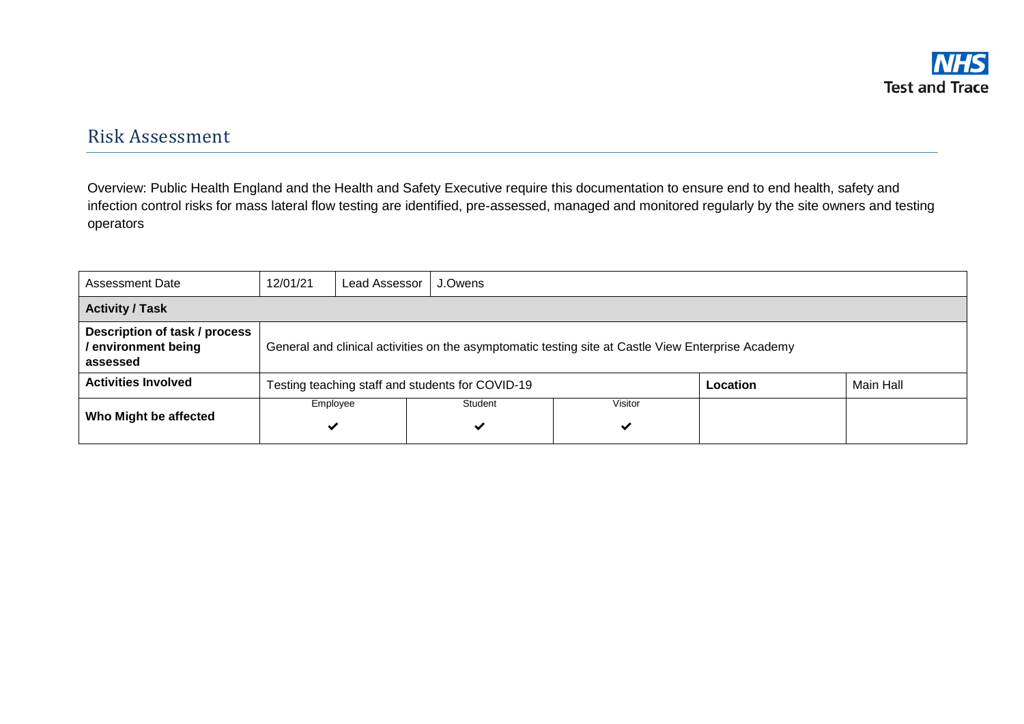## Risk Assessment

Overview: Public Health England and the Health and Safety Executive require this documentation to ensure end to end health, safety and infection control risks for mass lateral flow testing are identified, pre-assessed, managed and monitored regularly by the site owners and testing operators

| Assessment Date                                                  | 12/01/21 | Lead Assessor<br>J.Owens                                                                           |                                                  |              |          |           |  |
|------------------------------------------------------------------|----------|----------------------------------------------------------------------------------------------------|--------------------------------------------------|--------------|----------|-----------|--|
| <b>Activity / Task</b>                                           |          |                                                                                                    |                                                  |              |          |           |  |
| Description of task / process<br>/ environment being<br>assessed |          | General and clinical activities on the asymptomatic testing site at Castle View Enterprise Academy |                                                  |              |          |           |  |
| <b>Activities Involved</b>                                       |          |                                                                                                    | Testing teaching staff and students for COVID-19 |              | Location | Main Hall |  |
| Who Might be affected                                            | Employee |                                                                                                    | Student<br>$\checkmark$                          | Visitor<br>✓ |          |           |  |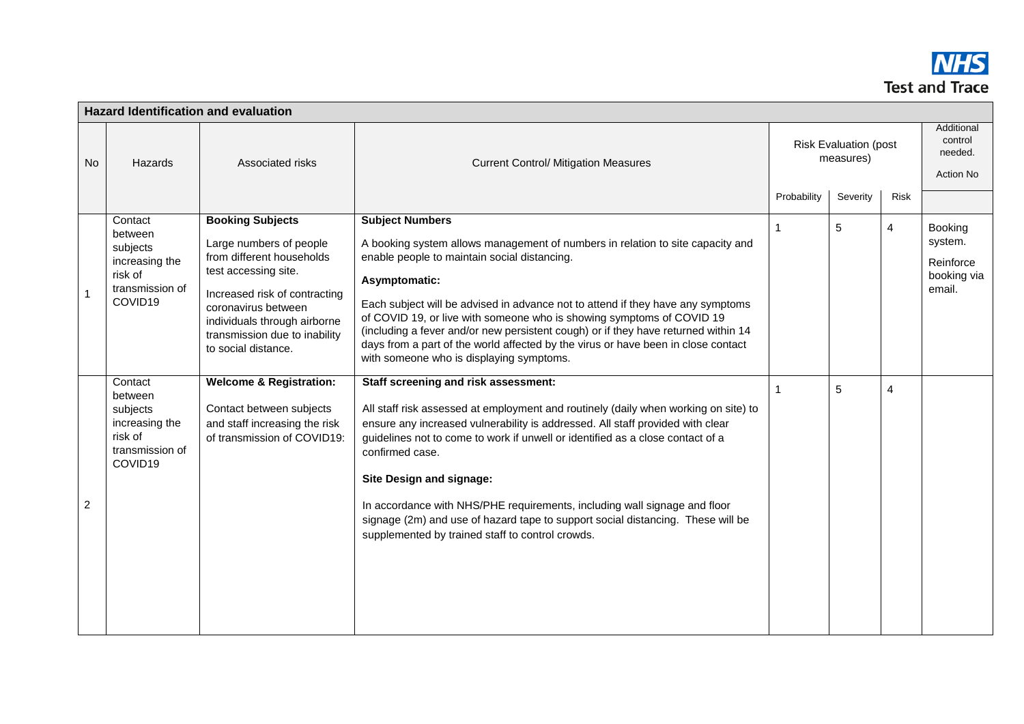

|                |                                                                                           | <b>Hazard Identification and evaluation</b>                                                                                                                                                                                                             |                                                                                                                                                                                                                                                                                                                                                                                                                                                                                                                                                                    |             |                                           |                |                                                          |
|----------------|-------------------------------------------------------------------------------------------|---------------------------------------------------------------------------------------------------------------------------------------------------------------------------------------------------------------------------------------------------------|--------------------------------------------------------------------------------------------------------------------------------------------------------------------------------------------------------------------------------------------------------------------------------------------------------------------------------------------------------------------------------------------------------------------------------------------------------------------------------------------------------------------------------------------------------------------|-------------|-------------------------------------------|----------------|----------------------------------------------------------|
| No             | Hazards                                                                                   | Associated risks                                                                                                                                                                                                                                        | <b>Current Control/ Mitigation Measures</b>                                                                                                                                                                                                                                                                                                                                                                                                                                                                                                                        |             | <b>Risk Evaluation (post</b><br>measures) |                | Additional<br>control<br>needed.<br><b>Action No</b>     |
|                |                                                                                           |                                                                                                                                                                                                                                                         |                                                                                                                                                                                                                                                                                                                                                                                                                                                                                                                                                                    | Probability | Severity                                  | <b>Risk</b>    |                                                          |
|                | Contact<br>between<br>subjects<br>increasing the<br>risk of<br>transmission of<br>COVID19 | <b>Booking Subjects</b><br>Large numbers of people<br>from different households<br>test accessing site.<br>Increased risk of contracting<br>coronavirus between<br>individuals through airborne<br>transmission due to inability<br>to social distance. | <b>Subject Numbers</b><br>A booking system allows management of numbers in relation to site capacity and<br>enable people to maintain social distancing.<br>Asymptomatic:<br>Each subject will be advised in advance not to attend if they have any symptoms<br>of COVID 19, or live with someone who is showing symptoms of COVID 19<br>(including a fever and/or new persistent cough) or if they have returned within 14<br>days from a part of the world affected by the virus or have been in close contact<br>with someone who is displaying symptoms.       | 1           | $\overline{5}$                            | $\overline{4}$ | Booking<br>system.<br>Reinforce<br>booking via<br>email. |
| $\overline{c}$ | Contact<br>between<br>subjects<br>increasing the<br>risk of<br>transmission of<br>COVID19 | <b>Welcome &amp; Registration:</b><br>Contact between subjects<br>and staff increasing the risk<br>of transmission of COVID19:                                                                                                                          | Staff screening and risk assessment:<br>All staff risk assessed at employment and routinely (daily when working on site) to<br>ensure any increased vulnerability is addressed. All staff provided with clear<br>guidelines not to come to work if unwell or identified as a close contact of a<br>confirmed case.<br>Site Design and signage:<br>In accordance with NHS/PHE requirements, including wall signage and floor<br>signage (2m) and use of hazard tape to support social distancing. These will be<br>supplemented by trained staff to control crowds. | 1           | $\overline{5}$                            | 4              |                                                          |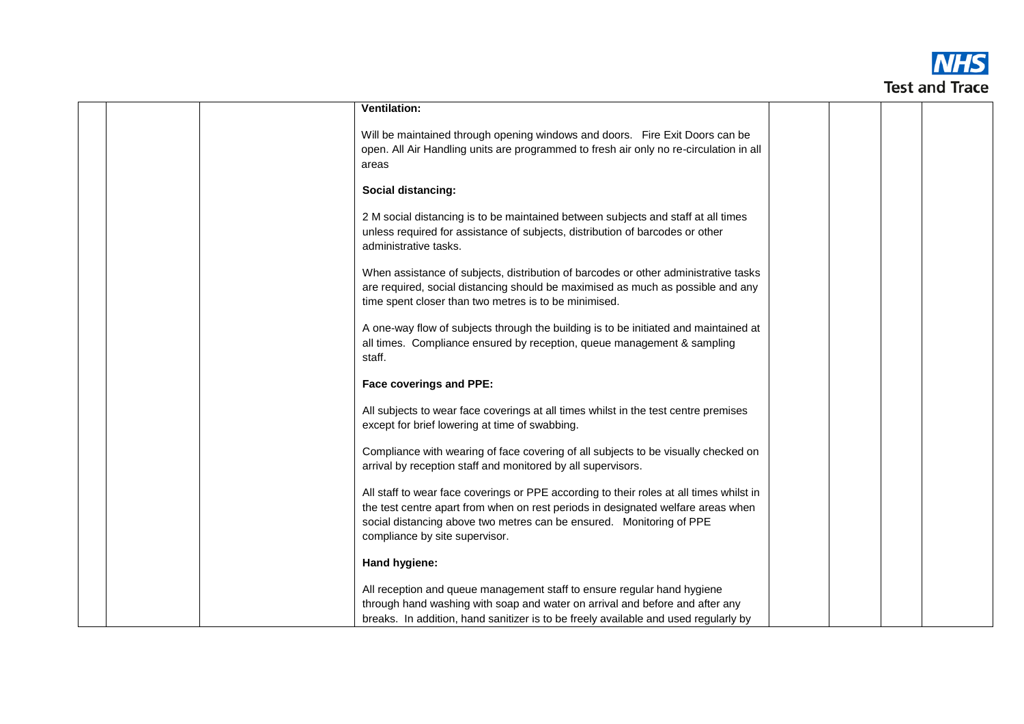

|  | Ventilation:                                                                                                                                                                                                                                                                          |  |  |
|--|---------------------------------------------------------------------------------------------------------------------------------------------------------------------------------------------------------------------------------------------------------------------------------------|--|--|
|  | Will be maintained through opening windows and doors. Fire Exit Doors can be<br>open. All Air Handling units are programmed to fresh air only no re-circulation in all<br>areas                                                                                                       |  |  |
|  | Social distancing:                                                                                                                                                                                                                                                                    |  |  |
|  | 2 M social distancing is to be maintained between subjects and staff at all times<br>unless required for assistance of subjects, distribution of barcodes or other<br>administrative tasks.                                                                                           |  |  |
|  | When assistance of subjects, distribution of barcodes or other administrative tasks<br>are required, social distancing should be maximised as much as possible and any<br>time spent closer than two metres is to be minimised.                                                       |  |  |
|  | A one-way flow of subjects through the building is to be initiated and maintained at<br>all times. Compliance ensured by reception, queue management & sampling<br>staff.                                                                                                             |  |  |
|  | <b>Face coverings and PPE:</b>                                                                                                                                                                                                                                                        |  |  |
|  | All subjects to wear face coverings at all times whilst in the test centre premises<br>except for brief lowering at time of swabbing.                                                                                                                                                 |  |  |
|  | Compliance with wearing of face covering of all subjects to be visually checked on<br>arrival by reception staff and monitored by all supervisors.                                                                                                                                    |  |  |
|  | All staff to wear face coverings or PPE according to their roles at all times whilst in<br>the test centre apart from when on rest periods in designated welfare areas when<br>social distancing above two metres can be ensured. Monitoring of PPE<br>compliance by site supervisor. |  |  |
|  | Hand hygiene:                                                                                                                                                                                                                                                                         |  |  |
|  | All reception and queue management staff to ensure regular hand hygiene<br>through hand washing with soap and water on arrival and before and after any<br>breaks. In addition, hand sanitizer is to be freely available and used regularly by                                        |  |  |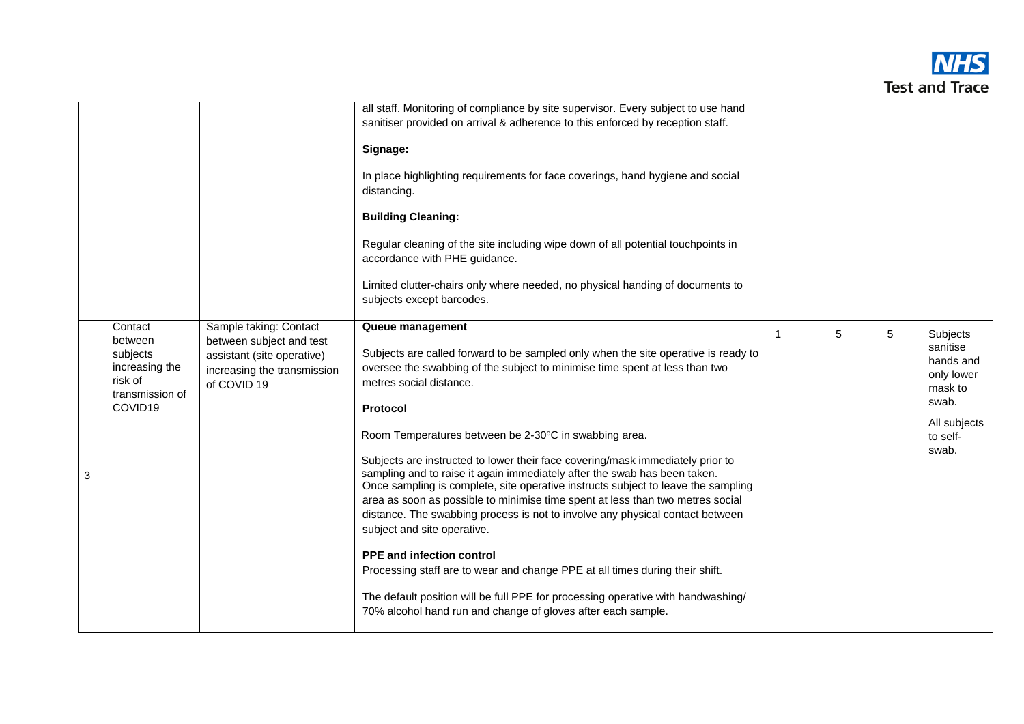

|   |                                                                                           |                                                                                                                                | all staff. Monitoring of compliance by site supervisor. Every subject to use hand<br>sanitiser provided on arrival & adherence to this enforced by reception staff.<br>Signage:<br>In place highlighting requirements for face coverings, hand hygiene and social<br>distancing.<br><b>Building Cleaning:</b><br>Regular cleaning of the site including wipe down of all potential touchpoints in<br>accordance with PHE guidance.<br>Limited clutter-chairs only where needed, no physical handing of documents to<br>subjects except barcodes.                                                                                                                                                                                                                                                                                                                                                                                                                                                                           |    |   |   |                                                                                                          |
|---|-------------------------------------------------------------------------------------------|--------------------------------------------------------------------------------------------------------------------------------|----------------------------------------------------------------------------------------------------------------------------------------------------------------------------------------------------------------------------------------------------------------------------------------------------------------------------------------------------------------------------------------------------------------------------------------------------------------------------------------------------------------------------------------------------------------------------------------------------------------------------------------------------------------------------------------------------------------------------------------------------------------------------------------------------------------------------------------------------------------------------------------------------------------------------------------------------------------------------------------------------------------------------|----|---|---|----------------------------------------------------------------------------------------------------------|
| 3 | Contact<br>between<br>subjects<br>increasing the<br>risk of<br>transmission of<br>COVID19 | Sample taking: Contact<br>between subject and test<br>assistant (site operative)<br>increasing the transmission<br>of COVID 19 | Queue management<br>Subjects are called forward to be sampled only when the site operative is ready to<br>oversee the swabbing of the subject to minimise time spent at less than two<br>metres social distance.<br><b>Protocol</b><br>Room Temperatures between be 2-30°C in swabbing area.<br>Subjects are instructed to lower their face covering/mask immediately prior to<br>sampling and to raise it again immediately after the swab has been taken.<br>Once sampling is complete, site operative instructs subject to leave the sampling<br>area as soon as possible to minimise time spent at less than two metres social<br>distance. The swabbing process is not to involve any physical contact between<br>subject and site operative.<br><b>PPE and infection control</b><br>Processing staff are to wear and change PPE at all times during their shift.<br>The default position will be full PPE for processing operative with handwashing/<br>70% alcohol hand run and change of gloves after each sample. | -1 | 5 | 5 | Subjects<br>sanitise<br>hands and<br>only lower<br>mask to<br>swab.<br>All subjects<br>to self-<br>swab. |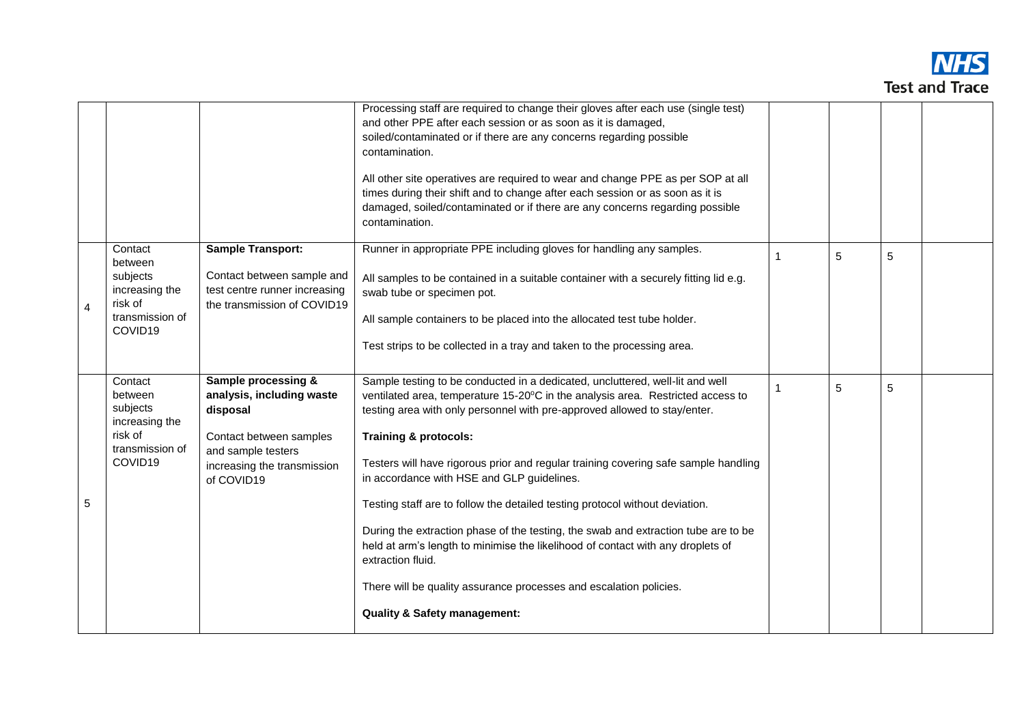

|                |                                                                                           |                                                                                                                                                                       | Processing staff are required to change their gloves after each use (single test)<br>and other PPE after each session or as soon as it is damaged,<br>soiled/contaminated or if there are any concerns regarding possible<br>contamination.<br>All other site operatives are required to wear and change PPE as per SOP at all<br>times during their shift and to change after each session or as soon as it is<br>damaged, soiled/contaminated or if there are any concerns regarding possible<br>contamination.                                                                                                                                                                                                                                                                                                     |                |   |   |  |
|----------------|-------------------------------------------------------------------------------------------|-----------------------------------------------------------------------------------------------------------------------------------------------------------------------|-----------------------------------------------------------------------------------------------------------------------------------------------------------------------------------------------------------------------------------------------------------------------------------------------------------------------------------------------------------------------------------------------------------------------------------------------------------------------------------------------------------------------------------------------------------------------------------------------------------------------------------------------------------------------------------------------------------------------------------------------------------------------------------------------------------------------|----------------|---|---|--|
| $\overline{4}$ | Contact<br>between<br>subjects<br>increasing the<br>risk of<br>transmission of<br>COVID19 | <b>Sample Transport:</b><br>Contact between sample and<br>test centre runner increasing<br>the transmission of COVID19                                                | Runner in appropriate PPE including gloves for handling any samples.<br>All samples to be contained in a suitable container with a securely fitting lid e.g.<br>swab tube or specimen pot.<br>All sample containers to be placed into the allocated test tube holder.<br>Test strips to be collected in a tray and taken to the processing area.                                                                                                                                                                                                                                                                                                                                                                                                                                                                      | 1              | 5 | 5 |  |
| 5              | Contact<br>between<br>subjects<br>increasing the<br>risk of<br>transmission of<br>COVID19 | <b>Sample processing &amp;</b><br>analysis, including waste<br>disposal<br>Contact between samples<br>and sample testers<br>increasing the transmission<br>of COVID19 | Sample testing to be conducted in a dedicated, uncluttered, well-lit and well<br>ventilated area, temperature 15-20°C in the analysis area. Restricted access to<br>testing area with only personnel with pre-approved allowed to stay/enter.<br><b>Training &amp; protocols:</b><br>Testers will have rigorous prior and regular training covering safe sample handling<br>in accordance with HSE and GLP guidelines.<br>Testing staff are to follow the detailed testing protocol without deviation.<br>During the extraction phase of the testing, the swab and extraction tube are to be<br>held at arm's length to minimise the likelihood of contact with any droplets of<br>extraction fluid.<br>There will be quality assurance processes and escalation policies.<br><b>Quality &amp; Safety management:</b> | $\overline{1}$ | 5 | 5 |  |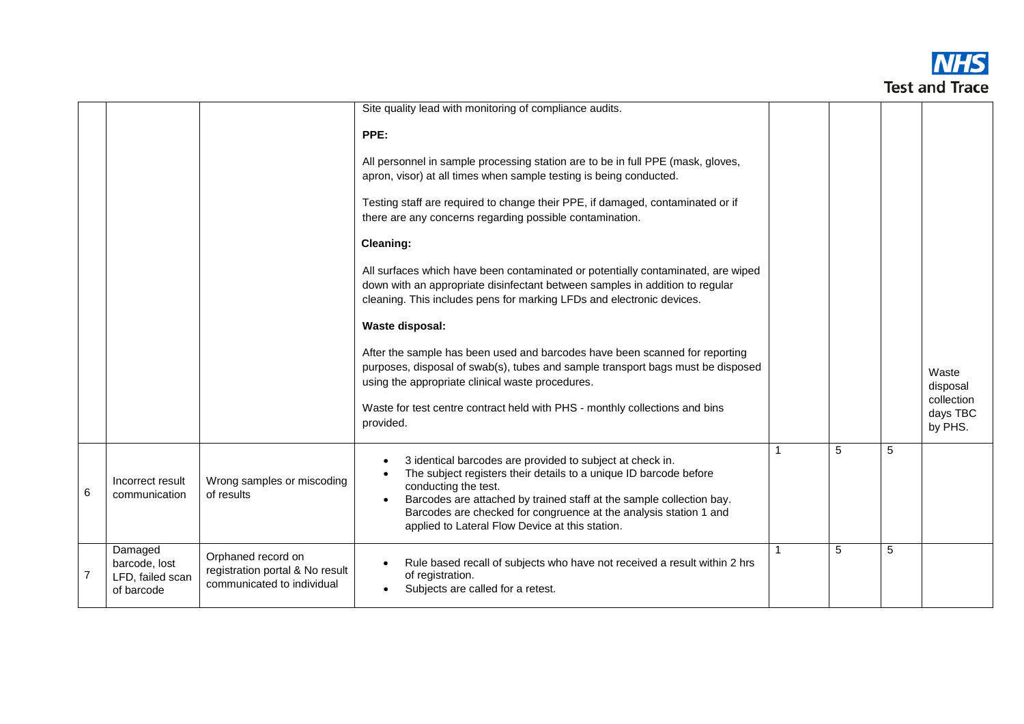

|   |                                                            |                                                                                     | Site quality lead with monitoring of compliance audits.                                                                                                                                                                                                                                                                                                |              |   |   |                                 |
|---|------------------------------------------------------------|-------------------------------------------------------------------------------------|--------------------------------------------------------------------------------------------------------------------------------------------------------------------------------------------------------------------------------------------------------------------------------------------------------------------------------------------------------|--------------|---|---|---------------------------------|
|   |                                                            |                                                                                     | PPE:                                                                                                                                                                                                                                                                                                                                                   |              |   |   |                                 |
|   |                                                            |                                                                                     | All personnel in sample processing station are to be in full PPE (mask, gloves,<br>apron, visor) at all times when sample testing is being conducted.                                                                                                                                                                                                  |              |   |   |                                 |
|   |                                                            |                                                                                     | Testing staff are required to change their PPE, if damaged, contaminated or if<br>there are any concerns regarding possible contamination.                                                                                                                                                                                                             |              |   |   |                                 |
|   |                                                            |                                                                                     | <b>Cleaning:</b>                                                                                                                                                                                                                                                                                                                                       |              |   |   |                                 |
|   |                                                            |                                                                                     | All surfaces which have been contaminated or potentially contaminated, are wiped<br>down with an appropriate disinfectant between samples in addition to regular<br>cleaning. This includes pens for marking LFDs and electronic devices.                                                                                                              |              |   |   |                                 |
|   |                                                            |                                                                                     | <b>Waste disposal:</b>                                                                                                                                                                                                                                                                                                                                 |              |   |   |                                 |
|   |                                                            |                                                                                     | After the sample has been used and barcodes have been scanned for reporting<br>purposes, disposal of swab(s), tubes and sample transport bags must be disposed<br>using the appropriate clinical waste procedures.                                                                                                                                     |              |   |   | Waste<br>disposal<br>collection |
|   |                                                            |                                                                                     | Waste for test centre contract held with PHS - monthly collections and bins<br>provided.                                                                                                                                                                                                                                                               |              |   |   | days TBC<br>by PHS.             |
| 6 | Incorrect result<br>communication                          | Wrong samples or miscoding<br>of results                                            | 3 identical barcodes are provided to subject at check in.<br>The subject registers their details to a unique ID barcode before<br>conducting the test.<br>Barcodes are attached by trained staff at the sample collection bay.<br>Barcodes are checked for congruence at the analysis station 1 and<br>applied to Lateral Flow Device at this station. | $\mathbf{1}$ | 5 | 5 |                                 |
|   | Damaged<br>barcode, lost<br>LFD, failed scan<br>of barcode | Orphaned record on<br>registration portal & No result<br>communicated to individual | Rule based recall of subjects who have not received a result within 2 hrs<br>of registration.<br>Subjects are called for a retest.                                                                                                                                                                                                                     | $\mathbf{1}$ | 5 | 5 |                                 |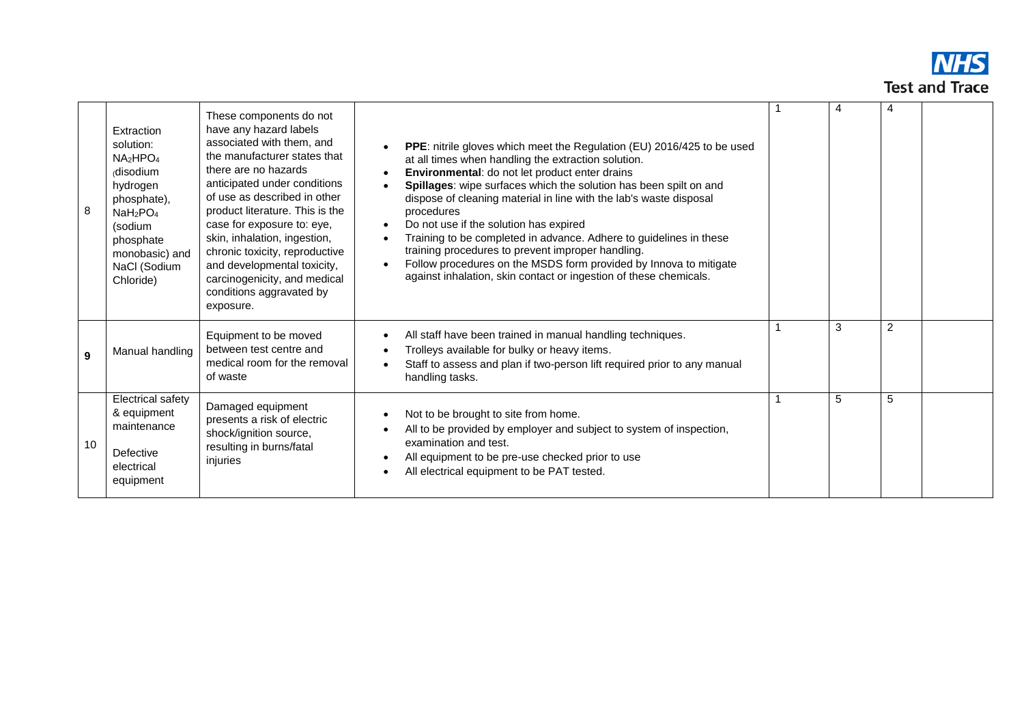

| 8  | Extraction<br>solution:<br>$NA_2HPO_4$<br>disodium<br>hydrogen<br>phosphate),<br>NaH <sub>2</sub> PO <sub>4</sub><br>(sodium<br>phosphate<br>monobasic) and<br>NaCl (Sodium<br>Chloride) | These components do not<br>have any hazard labels<br>associated with them, and<br>the manufacturer states that<br>there are no hazards<br>anticipated under conditions<br>of use as described in other<br>product literature. This is the<br>case for exposure to: eye,<br>skin, inhalation, ingestion,<br>chronic toxicity, reproductive<br>and developmental toxicity,<br>carcinogenicity, and medical<br>conditions aggravated by<br>exposure. | PPE: nitrile gloves which meet the Regulation (EU) 2016/425 to be used<br>at all times when handling the extraction solution.<br>Environmental: do not let product enter drains<br>Spillages: wipe surfaces which the solution has been spilt on and<br>dispose of cleaning material in line with the lab's waste disposal<br>procedures<br>Do not use if the solution has expired<br>$\bullet$<br>Training to be completed in advance. Adhere to guidelines in these<br>training procedures to prevent improper handling.<br>Follow procedures on the MSDS form provided by Innova to mitigate<br>against inhalation, skin contact or ingestion of these chemicals. | 4 | 4 |  |
|----|------------------------------------------------------------------------------------------------------------------------------------------------------------------------------------------|---------------------------------------------------------------------------------------------------------------------------------------------------------------------------------------------------------------------------------------------------------------------------------------------------------------------------------------------------------------------------------------------------------------------------------------------------|----------------------------------------------------------------------------------------------------------------------------------------------------------------------------------------------------------------------------------------------------------------------------------------------------------------------------------------------------------------------------------------------------------------------------------------------------------------------------------------------------------------------------------------------------------------------------------------------------------------------------------------------------------------------|---|---|--|
| 9  | Manual handling                                                                                                                                                                          | Equipment to be moved<br>between test centre and<br>medical room for the removal<br>of waste                                                                                                                                                                                                                                                                                                                                                      | All staff have been trained in manual handling techniques.<br>Trolleys available for bulky or heavy items.<br>Staff to assess and plan if two-person lift required prior to any manual<br>handling tasks.                                                                                                                                                                                                                                                                                                                                                                                                                                                            | 3 | 2 |  |
| 10 | Electrical safety<br>& equipment<br>maintenance<br>Defective<br>electrical<br>equipment                                                                                                  | Damaged equipment<br>presents a risk of electric<br>shock/ignition source,<br>resulting in burns/fatal<br>injuries                                                                                                                                                                                                                                                                                                                                | Not to be brought to site from home.<br>All to be provided by employer and subject to system of inspection,<br>examination and test.<br>All equipment to be pre-use checked prior to use<br>All electrical equipment to be PAT tested.                                                                                                                                                                                                                                                                                                                                                                                                                               | 5 | 5 |  |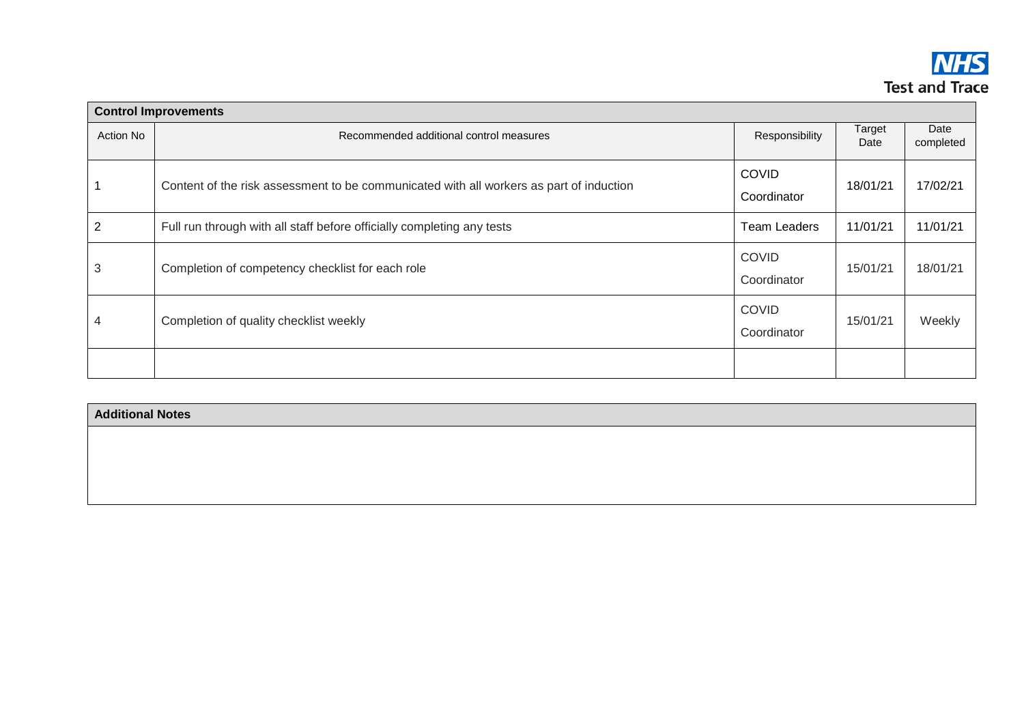

|           | <b>Control Improvements</b>                                                             |                             |                |                   |
|-----------|-----------------------------------------------------------------------------------------|-----------------------------|----------------|-------------------|
| Action No | Recommended additional control measures                                                 | Responsibility              | Target<br>Date | Date<br>completed |
|           | Content of the risk assessment to be communicated with all workers as part of induction | <b>COVID</b><br>Coordinator | 18/01/21       | 17/02/21          |
| 2         | Full run through with all staff before officially completing any tests                  | Team Leaders                | 11/01/21       | 11/01/21          |
| 3         | Completion of competency checklist for each role                                        | <b>COVID</b><br>Coordinator | 15/01/21       | 18/01/21          |
| 4         | Completion of quality checklist weekly                                                  | <b>COVID</b><br>Coordinator | 15/01/21       | Weekly            |
|           |                                                                                         |                             |                |                   |

| <b>Additional Notes</b> |  |  |
|-------------------------|--|--|
|                         |  |  |
|                         |  |  |
|                         |  |  |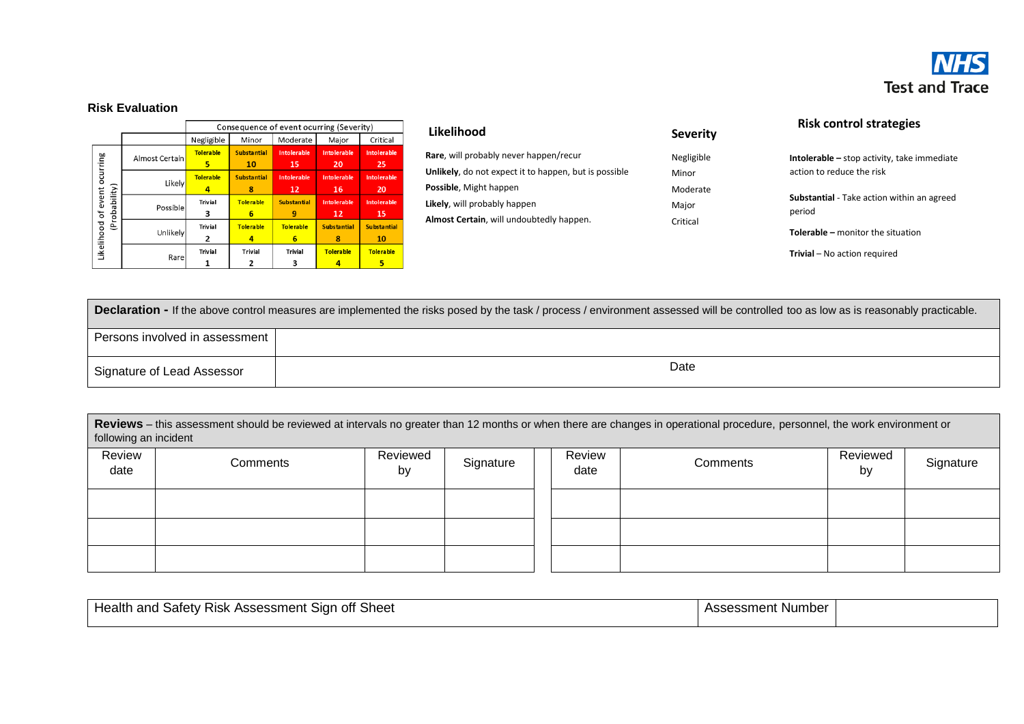

## **Risk Evaluation**

|                                      |                |                       | Consequence of event ocurring (Severity) |                          |                           |                          |  |  |
|--------------------------------------|----------------|-----------------------|------------------------------------------|--------------------------|---------------------------|--------------------------|--|--|
|                                      |                | Negligible            | Minor                                    | Moderate                 | Major                     | Critical                 |  |  |
| ocurring                             | Almost Certain | <b>Tolerable</b><br>5 | <b>Substantial</b><br>10                 | Intolerable<br>15        | <b>Into lerable</b><br>20 | <b>Intolerable</b><br>25 |  |  |
|                                      | Likely         | <b>Tolerable</b><br>4 | <b>Substantial</b><br>8                  | <b>Intolerable</b><br>12 | <b>Into lerable</b><br>16 | <b>Intolerable</b><br>20 |  |  |
| (Probability)<br>Likelihood of event | Possible       | <b>Trivial</b><br>3   | Tolera ble<br>6                          | <b>Substantial</b><br>9  | <b>Into lerable</b><br>12 | <b>Intolerable</b><br>15 |  |  |
|                                      | Unlikely       | <b>Trivial</b><br>2   | Tolera ble<br>4                          | <b>To le rable</b><br>6  | <b>Substantial</b><br>8   | <b>Substantial</b><br>10 |  |  |
|                                      | Rare           | <b>Trivial</b>        | <b>Trivial</b>                           | <b>Trivial</b><br>з      | <b>Tolerable</b>          | Tole ra ble<br>5         |  |  |

| Likelihood                                            | <b>Severity</b> |
|-------------------------------------------------------|-----------------|
| Rare, will probably never happen/recur                | Negligible      |
| Unlikely, do not expect it to happen, but is possible | Minor           |
| <b>Possible, Might happen</b>                         | Moderate        |
| Likely, will probably happen                          | Major           |
| Almost Certain, will undoubtedly happen.              | Critical        |
|                                                       |                 |

**Severity** Negligible

## **Risk control strategies**

**Intolerable –** stop activity, take immediate action to reduce the risk

**Substantial** - Take action within an agreed period

**Tolerable –** monitor the situation

**Trivial** – No action required

| <b>Declaration -</b> If the above control measures are implemented the risks posed by the task / process / environment assessed will be controlled too as low as is reasonably practicable. |      |  |  |  |  |
|---------------------------------------------------------------------------------------------------------------------------------------------------------------------------------------------|------|--|--|--|--|
| Persons involved in assessment                                                                                                                                                              |      |  |  |  |  |
| Signature of Lead Assessor                                                                                                                                                                  | Date |  |  |  |  |

| Reviews - this assessment should be reviewed at intervals no greater than 12 months or when there are changes in operational procedure, personnel, the work environment or |
|----------------------------------------------------------------------------------------------------------------------------------------------------------------------------|
| following an incident                                                                                                                                                      |

| Review<br>date | Comments | Reviewed<br>by | Signature | Review<br>date | Comments | Reviewed<br>by | Signature |
|----------------|----------|----------------|-----------|----------------|----------|----------------|-----------|
|                |          |                |           |                |          |                |           |
|                |          |                |           |                |          |                |           |
|                |          |                |           |                |          |                |           |

| Sheet<br>tealtl<br><b>RISK</b><br>accmant<br>off<br>satety<br>and<br>siar<br>ACC <sup>-</sup><br>וווסוווככסככר<br>. . | . Number<br>$\sim$<br>sessmer |  |
|-----------------------------------------------------------------------------------------------------------------------|-------------------------------|--|
|                                                                                                                       |                               |  |